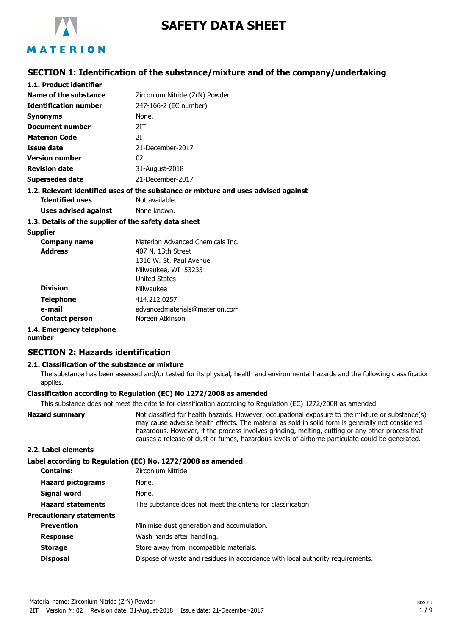

# **SAFETY DATA SHEET**

## **SECTION 1: Identification of the substance/mixture and of the company/undertaking**

| 1.1. Product identifier                               |                                                                                    |
|-------------------------------------------------------|------------------------------------------------------------------------------------|
| Name of the substance                                 | Zirconium Nitride (ZrN) Powder                                                     |
| <b>Identification number</b>                          | 247-166-2 (EC number)                                                              |
| <b>Synonyms</b>                                       | None.                                                                              |
| Document number                                       | 2IT                                                                                |
| <b>Materion Code</b>                                  | 2IT                                                                                |
| Issue date                                            | 21-December-2017                                                                   |
| <b>Version number</b>                                 | 02                                                                                 |
| <b>Revision date</b>                                  | 31-August-2018                                                                     |
| <b>Supersedes date</b>                                | 21-December-2017                                                                   |
|                                                       | 1.2. Relevant identified uses of the substance or mixture and uses advised against |
| <b>Identified uses</b>                                | Not available.                                                                     |
| Uses advised against                                  | None known.                                                                        |
| 1.3. Details of the supplier of the safety data sheet |                                                                                    |
| <b>Supplier</b>                                       |                                                                                    |
| Company name                                          | Materion Advanced Chemicals Inc.                                                   |
| <b>Address</b>                                        | 407 N. 13th Street                                                                 |
|                                                       | 1316 W. St. Paul Avenue                                                            |

|                          | 1316 W. St. Paul Avenue        |
|--------------------------|--------------------------------|
|                          | Milwaukee, WI 53233            |
|                          | <b>United States</b>           |
| <b>Division</b>          | Milwaukee                      |
| <b>Telephone</b>         | 414.212.0257                   |
| e-mail                   | advancedmaterials@materion.com |
| <b>Contact person</b>    | Noreen Atkinson                |
| 1.4. Emergency telephone |                                |

## **number**

## **SECTION 2: Hazards identification**

### **2.1. Classification of the substance or mixture**

The substance has been assessed and/or tested for its physical, health and environmental hazards and the following classification applies.

#### **Classification according to Regulation (EC) No 1272/2008 as amended**

This substance does not meet the criteria for classification according to Regulation (EC) 1272/2008 as amended.

**Hazard summary** Not classified for health hazards. However, occupational exposure to the mixture or substance(s) may cause adverse health effects. The material as sold in solid form is generally not considered hazardous. However, if the process involves grinding, melting, cutting or any other process that causes a release of dust or fumes, hazardous levels of airborne particulate could be generated. **2.2. Label elements**

**Label according to Regulation (EC) No. 1272/2008 as amended**

|                                 | Easer accoraing to itegalation (EC) its: 1272/2000 as amenaca                  |
|---------------------------------|--------------------------------------------------------------------------------|
| <b>Contains:</b>                | Zirconium Nitride                                                              |
| <b>Hazard pictograms</b>        | None.                                                                          |
| Signal word                     | None.                                                                          |
| <b>Hazard statements</b>        | The substance does not meet the criteria for classification.                   |
| <b>Precautionary statements</b> |                                                                                |
| <b>Prevention</b>               | Minimise dust generation and accumulation.                                     |
| <b>Response</b>                 | Wash hands after handling.                                                     |
| <b>Storage</b>                  | Store away from incompatible materials.                                        |
| <b>Disposal</b>                 | Dispose of waste and residues in accordance with local authority requirements. |
|                                 |                                                                                |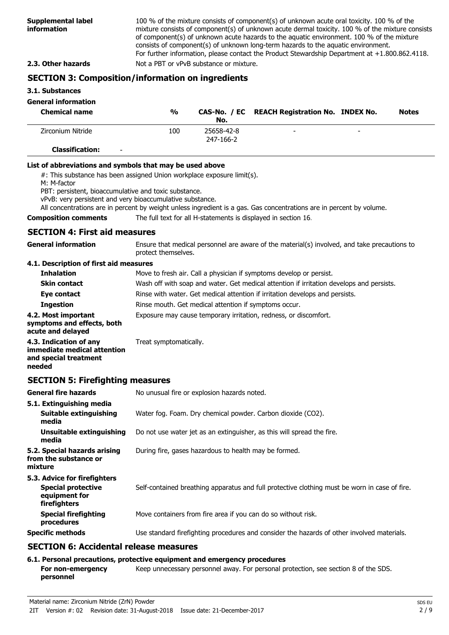100 % of the mixture consists of component(s) of unknown acute oral toxicity. 100 % of the mixture consists of component(s) of unknown acute dermal toxicity. 100 % of the mixture consists of component(s) of unknown acute hazards to the aquatic environment. 100 % of the mixture consists of component(s) of unknown long-term hazards to the aquatic environment. For further information, please contact the Product Stewardship Department at +1.800.862.4118. **2.3. Other hazards** Not a PBT or vPvB substance or mixture.

## **SECTION 3: Composition/information on ingredients**

#### **3.1. Substances**

## **General information**

| <b>Chemical name</b>                               | $\frac{0}{0}$ | No.                     | CAS-No. / EC REACH Registration No. INDEX No. |                          | <b>Notes</b> |
|----------------------------------------------------|---------------|-------------------------|-----------------------------------------------|--------------------------|--------------|
| Zirconium Nitride                                  | 100           | 25658-42-8<br>247-166-2 | -                                             | $\overline{\phantom{0}}$ |              |
| <b>Classification:</b><br>$\overline{\phantom{0}}$ |               |                         |                                               |                          |              |

#### **List of abbreviations and symbols that may be used above**

#: This substance has been assigned Union workplace exposure limit(s).

M: M-factor

PBT: persistent, bioaccumulative and toxic substance.

vPvB: very persistent and very bioaccumulative substance.

All concentrations are in percent by weight unless ingredient is a gas. Gas concentrations are in percent by volume.

### **Composition comments** The full text for all H-statements is displayed in section 16.

## **SECTION 4: First aid measures**

Ensure that medical personnel are aware of the material(s) involved, and take precautions to protect themselves. **General information**

## **4.1. Description of first aid measures**

| <b>Inhalation</b>                                                      | Move to fresh air. Call a physician if symptoms develop or persist.                      |
|------------------------------------------------------------------------|------------------------------------------------------------------------------------------|
| <b>Skin contact</b>                                                    | Wash off with soap and water. Get medical attention if irritation develops and persists. |
| Eye contact                                                            | Rinse with water. Get medical attention if irritation develops and persists.             |
| <b>Ingestion</b>                                                       | Rinse mouth. Get medical attention if symptoms occur.                                    |
| 4.2. Most important<br>symptoms and effects, both<br>acute and delayed | Exposure may cause temporary irritation, redness, or discomfort.                         |
| 4.3. Indication of any<br>immediate medical attention                  | Treat symptomatically.                                                                   |

**immediate medion and special treatment needed**

## **SECTION 5: Firefighting measures**

| <b>General fire hazards</b>                                                                | No unusual fire or explosion hazards noted.                                                   |
|--------------------------------------------------------------------------------------------|-----------------------------------------------------------------------------------------------|
| 5.1. Extinguishing media<br><b>Suitable extinguishing</b><br>media                         | Water fog. Foam. Dry chemical powder. Carbon dioxide (CO2).                                   |
| Unsuitable extinguishing<br>media                                                          | Do not use water jet as an extinguisher, as this will spread the fire.                        |
| 5.2. Special hazards arising<br>from the substance or<br>mixture                           | During fire, gases hazardous to health may be formed.                                         |
| 5.3. Advice for firefighters<br><b>Special protective</b><br>equipment for<br>firefighters | Self-contained breathing apparatus and full protective clothing must be worn in case of fire. |
| <b>Special firefighting</b><br>procedures                                                  | Move containers from fire area if you can do so without risk.                                 |
| <b>Specific methods</b>                                                                    | Use standard firefighting procedures and consider the hazards of other involved materials.    |

## **SECTION 6: Accidental release measures**

## **6.1. Personal precautions, protective equipment and emergency procedures**

**For non-emergency** Keep unnecessary personnel away. For personal protection, see section 8 of the SDS. **personnel**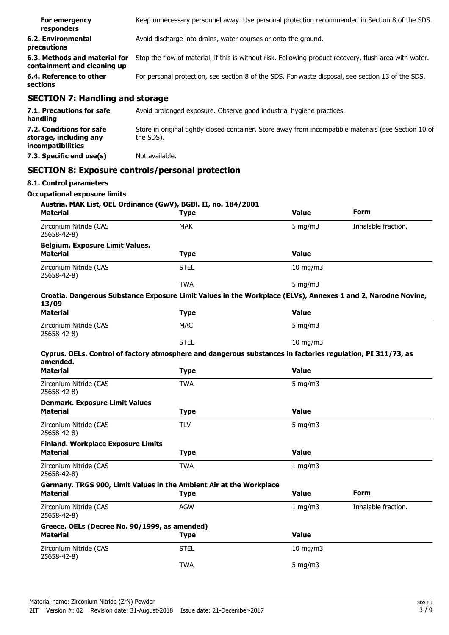| For emergency<br>responders                                                    | Keep unnecessary personnel away. Use personal protection recommended in Section 8 of the SDS.                      |
|--------------------------------------------------------------------------------|--------------------------------------------------------------------------------------------------------------------|
| 6.2. Environmental<br>precautions                                              | Avoid discharge into drains, water courses or onto the ground.                                                     |
| 6.3. Methods and material for<br>containment and cleaning up                   | Stop the flow of material, if this is without risk. Following product recovery, flush area with water.             |
| 6.4. Reference to other<br>sections                                            | For personal protection, see section 8 of the SDS. For waste disposal, see section 13 of the SDS.                  |
| <b>SECTION 7: Handling and storage</b>                                         |                                                                                                                    |
| 7.1. Precautions for safe<br>handling                                          | Avoid prolonged exposure. Observe good industrial hygiene practices.                                               |
| 7.2. Conditions for safe<br>storage, including any<br><i>incompatibilities</i> | Store in original tightly closed container. Store away from incompatible materials (see Section 10 of<br>the SDS). |
| 7.3. Specific end use(s)                                                       | Not available.                                                                                                     |
|                                                                                | <b>SECTION 8: Exposure controls/personal protection</b>                                                            |
| 8.1. Control parameters                                                        |                                                                                                                    |

| <b>Material</b>                                                                                                         | <b>Type</b> | <b>Value</b>      | <b>Form</b>         |
|-------------------------------------------------------------------------------------------------------------------------|-------------|-------------------|---------------------|
| Zirconium Nitride (CAS<br>25658-42-8)                                                                                   | <b>MAK</b>  | $5$ mg/m $3$      | Inhalable fraction. |
| <b>Belgium. Exposure Limit Values.</b>                                                                                  |             |                   |                     |
| <b>Material</b>                                                                                                         | <b>Type</b> | <b>Value</b>      |                     |
| Zirconium Nitride (CAS<br>25658-42-8)                                                                                   | <b>STEL</b> | 10 mg/m3          |                     |
|                                                                                                                         | <b>TWA</b>  | $5$ mg/m $3$      |                     |
| Croatia. Dangerous Substance Exposure Limit Values in the Workplace (ELVs), Annexes 1 and 2, Narodne Novine,<br>13/09   |             |                   |                     |
| <b>Material</b>                                                                                                         | <b>Type</b> | <b>Value</b>      |                     |
| Zirconium Nitride (CAS<br>25658-42-8)                                                                                   | <b>MAC</b>  | $5$ mg/m $3$      |                     |
|                                                                                                                         | <b>STEL</b> | $10 \text{ mg/m}$ |                     |
| Cyprus. OELs. Control of factory atmosphere and dangerous substances in factories regulation, PI 311/73, as<br>amended. |             |                   |                     |
| <b>Material</b>                                                                                                         | <b>Type</b> | <b>Value</b>      |                     |
| Zirconium Nitride (CAS<br>25658-42-8)                                                                                   | <b>TWA</b>  | $5$ mg/m $3$      |                     |
| <b>Denmark. Exposure Limit Values</b>                                                                                   |             |                   |                     |
| <b>Material</b>                                                                                                         | <b>Type</b> | <b>Value</b>      |                     |
| Zirconium Nitride (CAS<br>25658-42-8)                                                                                   | <b>TLV</b>  | $5$ mg/m $3$      |                     |
| <b>Finland. Workplace Exposure Limits</b>                                                                               |             |                   |                     |
| <b>Material</b>                                                                                                         | <b>Type</b> | <b>Value</b>      |                     |
| Zirconium Nitride (CAS<br>25658-42-8)                                                                                   | <b>TWA</b>  | $1$ mg/m $3$      |                     |
| Germany. TRGS 900, Limit Values in the Ambient Air at the Workplace<br><b>Material</b>                                  | <b>Type</b> | <b>Value</b>      | <b>Form</b>         |
| Zirconium Nitride (CAS<br>25658-42-8)                                                                                   | <b>AGW</b>  | 1 $mq/m3$         | Inhalable fraction. |
| Greece. OELs (Decree No. 90/1999, as amended)<br><b>Material</b>                                                        |             | Value             |                     |
|                                                                                                                         | <b>Type</b> |                   |                     |
| Zirconium Nitride (CAS<br>25658-42-8)                                                                                   | <b>STEL</b> | 10 mg/m3          |                     |
|                                                                                                                         | <b>TWA</b>  | $5$ mg/m $3$      |                     |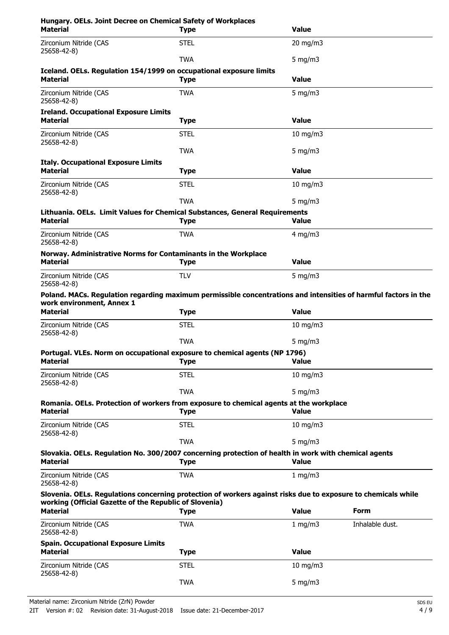| Hungary. OELs. Joint Decree on Chemical Safety of Workplaces<br><b>Material</b>                                                                                         | <b>Type</b> | <b>Value</b>     |                 |
|-------------------------------------------------------------------------------------------------------------------------------------------------------------------------|-------------|------------------|-----------------|
| Zirconium Nitride (CAS<br>25658-42-8)                                                                                                                                   | <b>STEL</b> | 20 mg/m3         |                 |
|                                                                                                                                                                         | <b>TWA</b>  | 5 mg/m $3$       |                 |
| Iceland. OELs. Regulation 154/1999 on occupational exposure limits<br><b>Material</b>                                                                                   | <b>Type</b> | <b>Value</b>     |                 |
| Zirconium Nitride (CAS<br>25658-42-8)                                                                                                                                   | <b>TWA</b>  | $5$ mg/m $3$     |                 |
| <b>Ireland. Occupational Exposure Limits</b><br><b>Material</b>                                                                                                         | <b>Type</b> | <b>Value</b>     |                 |
| Zirconium Nitride (CAS<br>25658-42-8)                                                                                                                                   | <b>STEL</b> | $10$ mg/m $3$    |                 |
|                                                                                                                                                                         | <b>TWA</b>  | 5 mg/m $3$       |                 |
| <b>Italy. Occupational Exposure Limits</b>                                                                                                                              |             |                  |                 |
| <b>Material</b>                                                                                                                                                         | <b>Type</b> | <b>Value</b>     |                 |
| Zirconium Nitride (CAS<br>25658-42-8)                                                                                                                                   | <b>STEL</b> | $10$ mg/m $3$    |                 |
|                                                                                                                                                                         | <b>TWA</b>  | $5 \text{ mg/m}$ |                 |
| Lithuania. OELs. Limit Values for Chemical Substances, General Requirements<br><b>Material</b>                                                                          | <b>Type</b> | <b>Value</b>     |                 |
| Zirconium Nitride (CAS<br>25658-42-8)                                                                                                                                   | <b>TWA</b>  | $4$ mg/m $3$     |                 |
| Norway. Administrative Norms for Contaminants in the Workplace<br><b>Material</b>                                                                                       | <b>Type</b> | <b>Value</b>     |                 |
| Zirconium Nitride (CAS<br>25658-42-8)                                                                                                                                   | <b>TLV</b>  | 5 mg/m $3$       |                 |
| Poland. MACs. Regulation regarding maximum permissible concentrations and intensities of harmful factors in the                                                         |             |                  |                 |
| work environment, Annex 1<br><b>Material</b>                                                                                                                            | <b>Type</b> | <b>Value</b>     |                 |
| Zirconium Nitride (CAS<br>25658-42-8)                                                                                                                                   | <b>STEL</b> | $10$ mg/m $3$    |                 |
|                                                                                                                                                                         | <b>TWA</b>  | 5 mg/m $3$       |                 |
| Portugal. VLEs. Norm on occupational exposure to chemical agents (NP 1796)<br>Material                                                                                  | <b>Type</b> | <b>Value</b>     |                 |
| Zirconium Nitride (CAS<br>25658-42-8)                                                                                                                                   | <b>STEL</b> | 10 mg/m3         |                 |
|                                                                                                                                                                         | <b>TWA</b>  | $5$ mg/m $3$     |                 |
| Romania. OELs. Protection of workers from exposure to chemical agents at the workplace<br><b>Material</b>                                                               | <b>Type</b> | <b>Value</b>     |                 |
| Zirconium Nitride (CAS<br>25658-42-8)                                                                                                                                   | <b>STEL</b> | 10 mg/m $3$      |                 |
|                                                                                                                                                                         | <b>TWA</b>  | 5 mg/m $3$       |                 |
| Slovakia. OELs. Regulation No. 300/2007 concerning protection of health in work with chemical agents<br><b>Material</b>                                                 | <b>Type</b> | <b>Value</b>     |                 |
| Zirconium Nitride (CAS<br>25658-42-8)                                                                                                                                   | <b>TWA</b>  | 1 mg/m3          |                 |
| Slovenia. OELs. Regulations concerning protection of workers against risks due to exposure to chemicals while<br>working (Official Gazette of the Republic of Slovenia) |             |                  |                 |
| <b>Material</b>                                                                                                                                                         | <b>Type</b> | <b>Value</b>     | Form            |
| Zirconium Nitride (CAS<br>25658-42-8)                                                                                                                                   | <b>TWA</b>  | 1 mg/m $3$       | Inhalable dust. |
| <b>Spain. Occupational Exposure Limits</b>                                                                                                                              |             |                  |                 |
| <b>Material</b>                                                                                                                                                         | <b>Type</b> | <b>Value</b>     |                 |
| Zirconium Nitride (CAS<br>25658-42-8)                                                                                                                                   | <b>STEL</b> | $10$ mg/m $3$    |                 |
|                                                                                                                                                                         | <b>TWA</b>  | $5$ mg/m $3$     |                 |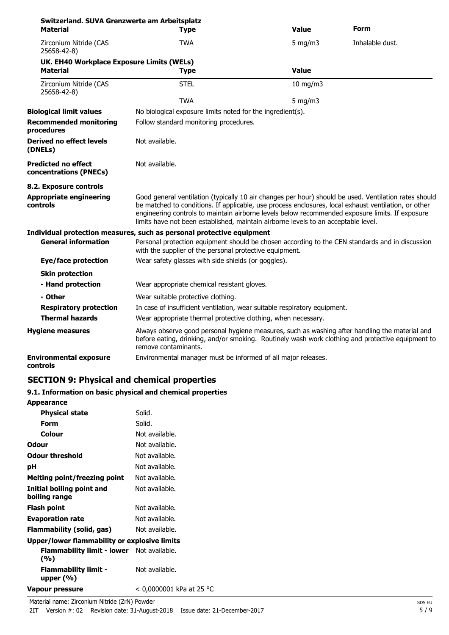| Switzerland. SUVA Grenzwerte am Arbeitsplatz<br><b>Material</b> |                                                                                                                                                                                                                                                                                                                                                                                                        | <b>Value</b>                           | Form            |  |
|-----------------------------------------------------------------|--------------------------------------------------------------------------------------------------------------------------------------------------------------------------------------------------------------------------------------------------------------------------------------------------------------------------------------------------------------------------------------------------------|----------------------------------------|-----------------|--|
|                                                                 | <b>Type</b>                                                                                                                                                                                                                                                                                                                                                                                            |                                        |                 |  |
| Zirconium Nitride (CAS<br>25658-42-8)                           | <b>TWA</b>                                                                                                                                                                                                                                                                                                                                                                                             | $5 \text{ mg/m}$                       | Inhalable dust. |  |
| UK. EH40 Workplace Exposure Limits (WELs)                       |                                                                                                                                                                                                                                                                                                                                                                                                        |                                        |                 |  |
| <b>Material</b>                                                 | <b>Type</b>                                                                                                                                                                                                                                                                                                                                                                                            | <b>Value</b>                           |                 |  |
| Zirconium Nitride (CAS<br>25658-42-8)                           | <b>STEL</b>                                                                                                                                                                                                                                                                                                                                                                                            | 10 mg/m3                               |                 |  |
|                                                                 | <b>TWA</b>                                                                                                                                                                                                                                                                                                                                                                                             | $5$ mg/m $3$                           |                 |  |
| <b>Biological limit values</b>                                  | No biological exposure limits noted for the ingredient(s).                                                                                                                                                                                                                                                                                                                                             |                                        |                 |  |
| <b>Recommended monitoring</b><br>procedures                     |                                                                                                                                                                                                                                                                                                                                                                                                        | Follow standard monitoring procedures. |                 |  |
| <b>Derived no effect levels</b><br>(DNELs)                      | Not available.                                                                                                                                                                                                                                                                                                                                                                                         |                                        |                 |  |
| <b>Predicted no effect</b><br>concentrations (PNECs)            | Not available.                                                                                                                                                                                                                                                                                                                                                                                         |                                        |                 |  |
| 8.2. Exposure controls                                          |                                                                                                                                                                                                                                                                                                                                                                                                        |                                        |                 |  |
| <b>Appropriate engineering</b><br>controls                      | Good general ventilation (typically 10 air changes per hour) should be used. Ventilation rates should<br>be matched to conditions. If applicable, use process enclosures, local exhaust ventilation, or other<br>engineering controls to maintain airborne levels below recommended exposure limits. If exposure<br>limits have not been established, maintain airborne levels to an acceptable level. |                                        |                 |  |
|                                                                 | Individual protection measures, such as personal protective equipment                                                                                                                                                                                                                                                                                                                                  |                                        |                 |  |
| <b>General information</b>                                      | Personal protection equipment should be chosen according to the CEN standards and in discussion<br>with the supplier of the personal protective equipment.                                                                                                                                                                                                                                             |                                        |                 |  |
| <b>Eye/face protection</b>                                      | Wear safety glasses with side shields (or goggles).                                                                                                                                                                                                                                                                                                                                                    |                                        |                 |  |
| <b>Skin protection</b>                                          |                                                                                                                                                                                                                                                                                                                                                                                                        |                                        |                 |  |
| - Hand protection                                               | Wear appropriate chemical resistant gloves.                                                                                                                                                                                                                                                                                                                                                            |                                        |                 |  |
| - Other                                                         | Wear suitable protective clothing.                                                                                                                                                                                                                                                                                                                                                                     |                                        |                 |  |
| <b>Respiratory protection</b>                                   | In case of insufficient ventilation, wear suitable respiratory equipment.                                                                                                                                                                                                                                                                                                                              |                                        |                 |  |
| <b>Thermal hazards</b>                                          | Wear appropriate thermal protective clothing, when necessary.                                                                                                                                                                                                                                                                                                                                          |                                        |                 |  |
| <b>Hygiene measures</b>                                         | Always observe good personal hygiene measures, such as washing after handling the material and<br>before eating, drinking, and/or smoking. Routinely wash work clothing and protective equipment to<br>remove contaminants.                                                                                                                                                                            |                                        |                 |  |
| <b>Environmental exposure</b><br>controls                       | Environmental manager must be informed of all major releases.                                                                                                                                                                                                                                                                                                                                          |                                        |                 |  |

## **SECTION 9: Physical and chemical properties**

## **9.1. Information on basic physical and chemical properties**

| <b>Appearance</b>                                       |                          |
|---------------------------------------------------------|--------------------------|
| <b>Physical state</b>                                   | Solid.                   |
| Form                                                    | Solid.                   |
| Colour                                                  | Not available.           |
| Odour                                                   | Not available.           |
| <b>Odour threshold</b>                                  | Not available.           |
| рH                                                      | Not available.           |
| <b>Melting point/freezing point</b>                     | Not available.           |
| <b>Initial boiling point and</b><br>boiling range       | Not available.           |
| <b>Flash point</b>                                      | Not available.           |
| <b>Evaporation rate</b>                                 | Not available.           |
| Flammability (solid, gas)                               | Not available.           |
| Upper/lower flammability or explosive limits            |                          |
| <b>Flammability limit - lower</b> Not available.<br>(%) |                          |
| <b>Flammability limit -</b><br>upper $(% )$             | Not available.           |
| <b>Vapour pressure</b>                                  | < 0,0000001 kPa at 25 °C |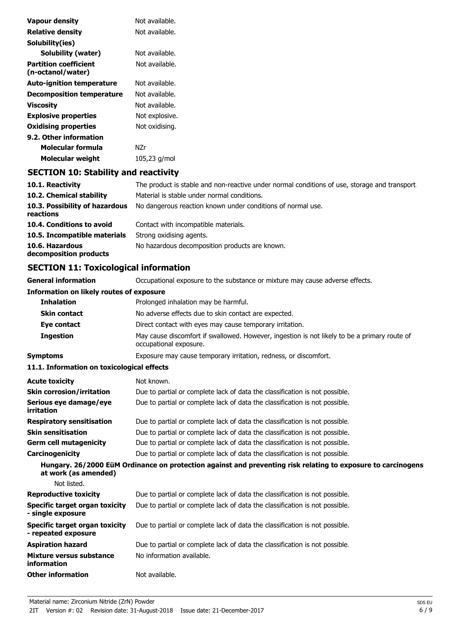| Vapour density                                    | Not available. |
|---------------------------------------------------|----------------|
| <b>Relative density</b>                           | Not available. |
| Solubility(ies)                                   |                |
| Solubility (water)                                | Not available. |
| <b>Partition coefficient</b><br>(n-octanol/water) | Not available. |
| <b>Auto-ignition temperature</b>                  | Not available. |
| <b>Decomposition temperature</b>                  | Not available. |
| Viscosity                                         | Not available. |
| <b>Explosive properties</b>                       | Not explosive. |
| <b>Oxidising properties</b>                       | Not oxidising. |
| 9.2. Other information                            |                |
| Molecular formula                                 | N7r            |
| <b>Molecular weight</b>                           | 105,23 g/mol   |

## **SECTION 10: Stability and reactivity**

| 10.1. Reactivity                            | The product is stable and non-reactive under normal conditions of use, storage and transport |
|---------------------------------------------|----------------------------------------------------------------------------------------------|
| 10.2. Chemical stability                    | Material is stable under normal conditions.                                                  |
| 10.3. Possibility of hazardous<br>reactions | No dangerous reaction known under conditions of normal use.                                  |
| 10.4. Conditions to avoid                   | Contact with incompatible materials.                                                         |
| 10.5. Incompatible materials                | Strong oxidising agents.                                                                     |
| 10.6. Hazardous<br>decomposition products   | No hazardous decomposition products are known.                                               |

## **SECTION 11: Toxicological information**

**General information CCCUPATION** Occupational exposure to the substance or mixture may cause adverse effects.

## **Information on likely routes of exposure**

| <b>Inhalation</b>   | Prolonged inhalation may be harmful.                                                                                   |
|---------------------|------------------------------------------------------------------------------------------------------------------------|
| <b>Skin contact</b> | No adverse effects due to skin contact are expected.                                                                   |
| Eye contact         | Direct contact with eyes may cause temporary irritation.                                                               |
| <b>Ingestion</b>    | May cause discomfort if swallowed. However, ingestion is not likely to be a primary route of<br>occupational exposure. |
| Symptoms            | Exposure may cause temporary irritation, redness, or discomfort.                                                       |

## **11.1. Information on toxicological effects**

| <b>Acute toxicity</b>                                 | Not known.                                                                                                   |
|-------------------------------------------------------|--------------------------------------------------------------------------------------------------------------|
| <b>Skin corrosion/irritation</b>                      | Due to partial or complete lack of data the classification is not possible.                                  |
| Serious eye damage/eye<br>irritation                  | Due to partial or complete lack of data the classification is not possible.                                  |
| <b>Respiratory sensitisation</b>                      | Due to partial or complete lack of data the classification is not possible.                                  |
| <b>Skin sensitisation</b>                             | Due to partial or complete lack of data the classification is not possible.                                  |
| <b>Germ cell mutagenicity</b>                         | Due to partial or complete lack of data the classification is not possible.                                  |
| <b>Carcinogenicity</b>                                | Due to partial or complete lack of data the classification is not possible.                                  |
| at work (as amended)<br>Not listed.                   | Hungary. 26/2000 EüM Ordinance on protection against and preventing risk relating to exposure to carcinogens |
| <b>Reproductive toxicity</b>                          | Due to partial or complete lack of data the classification is not possible.                                  |
| Specific target organ toxicity<br>- single exposure   | Due to partial or complete lack of data the classification is not possible.                                  |
| Specific target organ toxicity<br>- repeated exposure | Due to partial or complete lack of data the classification is not possible.                                  |
| <b>Aspiration hazard</b>                              | Due to partial or complete lack of data the classification is not possible.                                  |
| Mixture versus substance<br>information               | No information available.                                                                                    |
| <b>Other information</b>                              | Not available.                                                                                               |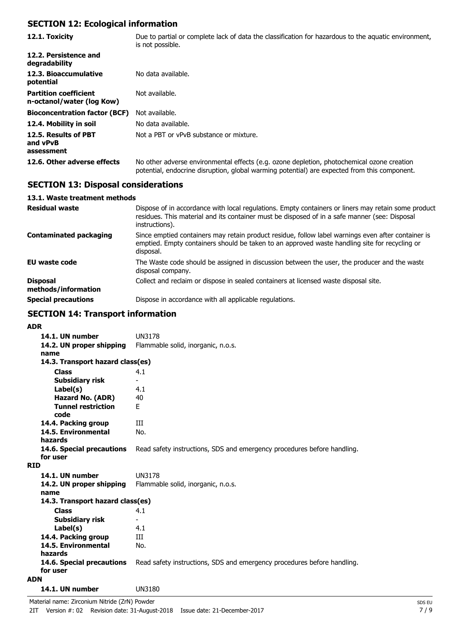## **SECTION 12: Ecological information**

| 12.1. Toxicity                                            | Due to partial or complete lack of data the classification for hazardous to the aquatic environment,<br>is not possible.                                                                   |
|-----------------------------------------------------------|--------------------------------------------------------------------------------------------------------------------------------------------------------------------------------------------|
| 12.2. Persistence and<br>degradability                    |                                                                                                                                                                                            |
| 12.3. Bioaccumulative<br>potential                        | No data available.                                                                                                                                                                         |
| <b>Partition coefficient</b><br>n-octanol/water (log Kow) | Not available.                                                                                                                                                                             |
| <b>Bioconcentration factor (BCF)</b>                      | Not available.                                                                                                                                                                             |
| 12.4. Mobility in soil                                    | No data available.                                                                                                                                                                         |
| 12.5. Results of PBT<br>and vPvB<br>assessment            | Not a PBT or vPvB substance or mixture.                                                                                                                                                    |
| 12.6. Other adverse effects                               | No other adverse environmental effects (e.g. ozone depletion, photochemical ozone creation<br>potential, endocrine disruption, global warming potential) are expected from this component. |

## **SECTION 13: Disposal considerations**

## **13.1. Waste treatment methods**

| <b>Residual waste</b>                  | Dispose of in accordance with local regulations. Empty containers or liners may retain some product<br>residues. This material and its container must be disposed of in a safe manner (see: Disposal<br>instructions). |
|----------------------------------------|------------------------------------------------------------------------------------------------------------------------------------------------------------------------------------------------------------------------|
| <b>Contaminated packaging</b>          | Since emptied containers may retain product residue, follow label warnings even after container is<br>emptied. Empty containers should be taken to an approved waste handling site for recycling or<br>disposal.       |
| <b>EU waste code</b>                   | The Waste code should be assigned in discussion between the user, the producer and the waste<br>disposal company.                                                                                                      |
| <b>Disposal</b><br>methods/information | Collect and reclaim or dispose in sealed containers at licensed waste disposal site.                                                                                                                                   |
| <b>Special precautions</b>             | Dispose in accordance with all applicable regulations.                                                                                                                                                                 |

## **SECTION 14: Transport information**

### **ADR**

| 14.1. UN number                       | <b>UN3178</b>                                                           |
|---------------------------------------|-------------------------------------------------------------------------|
| 14.2. UN proper shipping              | Flammable solid, inorganic, n.o.s.                                      |
| name                                  |                                                                         |
| 14.3. Transport hazard class(es)      |                                                                         |
| <b>Class</b>                          | 4.1                                                                     |
| Subsidiary risk                       |                                                                         |
| Label(s)                              | 4.1                                                                     |
| Hazard No. (ADR)                      | 40                                                                      |
| <b>Tunnel restriction</b><br>code     | F.                                                                      |
| 14.4. Packing group                   | Ш                                                                       |
| 14.5. Environmental<br>hazards        | No.                                                                     |
| 14.6. Special precautions             | Read safety instructions, SDS and emergency procedures before handling. |
| for user                              |                                                                         |
| <b>RID</b>                            |                                                                         |
| 14.1. UN number                       | UN3178                                                                  |
| 14.2. UN proper shipping<br>name      | Flammable solid, inorganic, n.o.s.                                      |
| 14.3. Transport hazard class(es)      |                                                                         |
| <b>Class</b>                          | 4.1                                                                     |
| Subsidiary risk                       |                                                                         |
| Label(s)                              | 4.1                                                                     |
| 14.4. Packing group                   | Ш                                                                       |
| 14.5. Environmental<br>hazards        | No.                                                                     |
| 14.6. Special precautions<br>for user | Read safety instructions, SDS and emergency procedures before handling. |
| <b>ADN</b>                            |                                                                         |
| 14.1. UN number                       | UN3180                                                                  |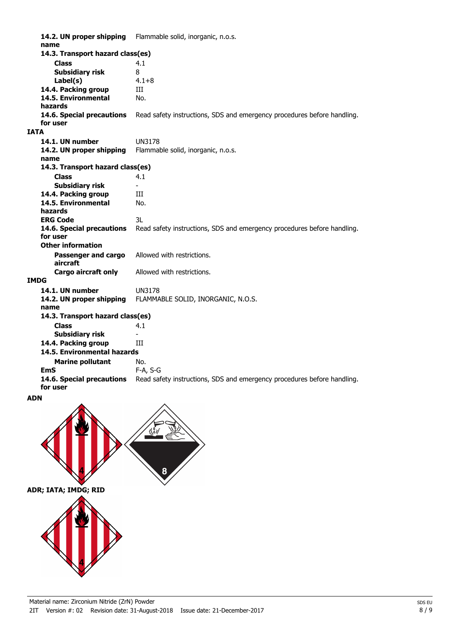**14.2. UN proper shipping** Flammable solid, inorganic, n.o.s. **name Class** 4.1 **14.3. Transport hazard class(es) Subsidiary risk** 8 **Label(s)** 4.1+8 14.4. Packing group **III 14.5. Environmental** No. **hazards 14.6. Special precautions** Read safety instructions, SDS and emergency procedures before handling. **for user IATA 14.1. UN number** UN3178 **14.2. UN proper shipping** Flammable solid, inorganic, n.o.s. **name Class** 4.1 **14.3. Transport hazard class(es) Subsidiary risk** 14.4. Packing group **III 14.5. Environmental** No. **hazards ERG Code** 3L **14.6. Special precautions** Read safety instructions, SDS and emergency procedures before handling. **for user Passenger and cargo** Allowed with restrictions. **aircraft Other information Cargo aircraft only** Allowed with restrictions. **IMDG 14.1. UN number** UN3178 **14.2. UN proper shipping** FLAMMABLE SOLID, INORGANIC, N.O.S. **name Class** 4.1 **14.3. Transport hazard class(es) Subsidiary risk 14.4. Packing group III Marine pollutant** No. **14.5. Environmental hazards EmS** F-A, S-G **14.6. Special precautions** Read safety instructions, SDS and emergency procedures before handling. **for user ADN**